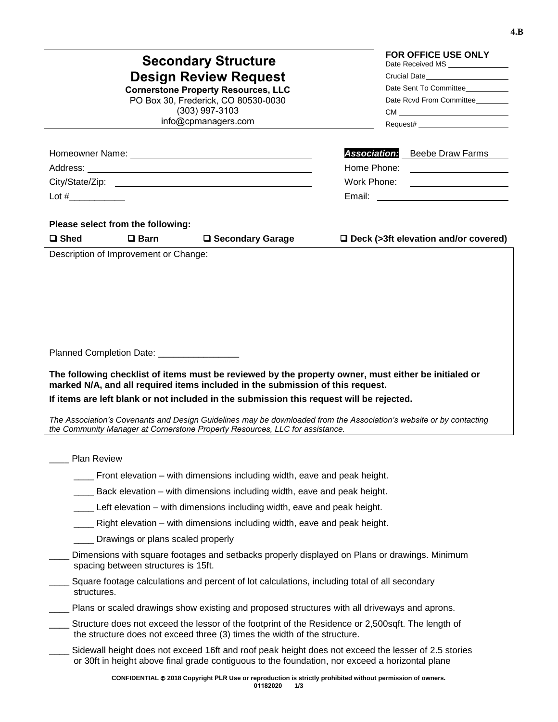| <b>Secondary Structure</b><br><b>Design Review Request</b><br><b>Cornerstone Property Resources, LLC</b><br>PO Box 30, Frederick, CO 80530-0030<br>$(303)$ 997-3103<br>info@cpmanagers.com                                                                                                                                                                                                                                                                                                                    | <b>FOR OFFICE USE ONLY</b><br>Date Received MS<br>Crucial Date<br>Date Sent To Committee<br>Date Rcvd From Committee_______ |
|---------------------------------------------------------------------------------------------------------------------------------------------------------------------------------------------------------------------------------------------------------------------------------------------------------------------------------------------------------------------------------------------------------------------------------------------------------------------------------------------------------------|-----------------------------------------------------------------------------------------------------------------------------|
|                                                                                                                                                                                                                                                                                                                                                                                                                                                                                                               | <b>Association:</b> Beebe Draw Farms<br>Home Phone: _____________________<br>Work Phone: _____________________              |
| Please select from the following:<br>$\square$ Shed<br>$\square$ Barn<br>□ Secondary Garage                                                                                                                                                                                                                                                                                                                                                                                                                   | $\Box$ Deck (>3ft elevation and/or covered)                                                                                 |
| Planned Completion Date: _________________<br>The following checklist of items must be reviewed by the property owner, must either be initialed or<br>marked N/A, and all required items included in the submission of this request.<br>If items are left blank or not included in the submission this request will be rejected.<br>The Association's Covenants and Design Guidelines may be downloaded from the Association's website or by contacting                                                       |                                                                                                                             |
| the Community Manager at Cornerstone Property Resources, LLC for assistance.                                                                                                                                                                                                                                                                                                                                                                                                                                  |                                                                                                                             |
| <b>Plan Review</b><br>Front elevation – with dimensions including width, eave and peak height.<br>Back elevation – with dimensions including width, eave and peak height.<br>Left elevation – with dimensions including width, eave and peak height.<br>Right elevation – with dimensions including width, eave and peak height.<br>Drawings or plans scaled properly<br>Dimensions with square footages and setbacks properly displayed on Plans or drawings. Minimum<br>spacing between structures is 15ft. |                                                                                                                             |
| Square footage calculations and percent of lot calculations, including total of all secondary<br>structures.                                                                                                                                                                                                                                                                                                                                                                                                  |                                                                                                                             |
| Plans or scaled drawings show existing and proposed structures with all driveways and aprons.<br>Structure does not exceed the lessor of the footprint of the Residence or 2,500sqft. The length of<br>the structure does not exceed three (3) times the width of the structure.                                                                                                                                                                                                                              |                                                                                                                             |
| Sidewall height does not exceed 16ft and roof peak height does not exceed the lesser of 2.5 stories<br>or 30ft in height above final grade contiguous to the foundation, nor exceed a horizontal plane                                                                                                                                                                                                                                                                                                        |                                                                                                                             |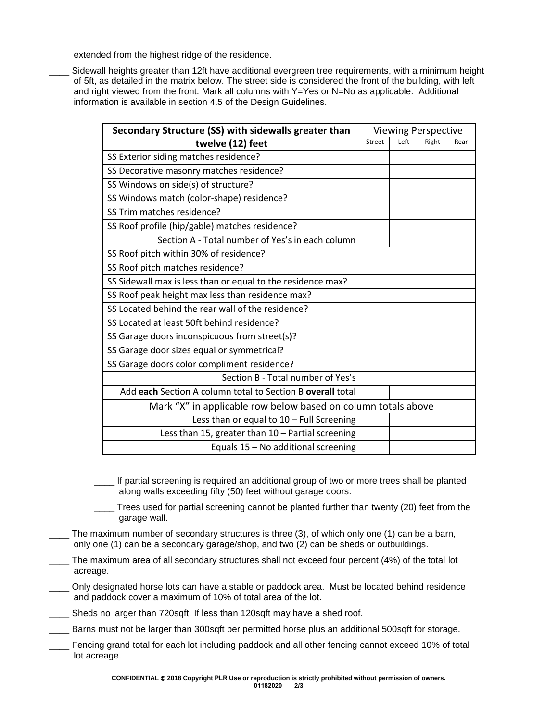extended from the highest ridge of the residence.

Sidewall heights greater than 12ft have additional evergreen tree requirements, with a minimum height of 5ft, as detailed in the matrix below. The street side is considered the front of the building, with left and right viewed from the front. Mark all columns with  $Y=Yes$  or  $N=No$  as applicable. Additional information is available in section 4.5 of the Design Guidelines.

| Secondary Structure (SS) with sidewalls greater than          |               | <b>Viewing Perspective</b> |       |      |
|---------------------------------------------------------------|---------------|----------------------------|-------|------|
| twelve (12) feet                                              | <b>Street</b> | Left                       | Right | Rear |
| SS Exterior siding matches residence?                         |               |                            |       |      |
| SS Decorative masonry matches residence?                      |               |                            |       |      |
| SS Windows on side(s) of structure?                           |               |                            |       |      |
| SS Windows match (color-shape) residence?                     |               |                            |       |      |
| SS Trim matches residence?                                    |               |                            |       |      |
| SS Roof profile (hip/gable) matches residence?                |               |                            |       |      |
| Section A - Total number of Yes's in each column              |               |                            |       |      |
| SS Roof pitch within 30% of residence?                        |               |                            |       |      |
| SS Roof pitch matches residence?                              |               |                            |       |      |
| SS Sidewall max is less than or equal to the residence max?   |               |                            |       |      |
| SS Roof peak height max less than residence max?              |               |                            |       |      |
| SS Located behind the rear wall of the residence?             |               |                            |       |      |
| SS Located at least 50ft behind residence?                    |               |                            |       |      |
| SS Garage doors inconspicuous from street(s)?                 |               |                            |       |      |
| SS Garage door sizes equal or symmetrical?                    |               |                            |       |      |
| SS Garage doors color compliment residence?                   |               |                            |       |      |
| Section B - Total number of Yes's                             |               |                            |       |      |
| Add each Section A column total to Section B overall total    |               |                            |       |      |
| Mark "X" in applicable row below based on column totals above |               |                            |       |      |
| Less than or equal to 10 - Full Screening                     |               |                            |       |      |
| Less than 15, greater than 10 - Partial screening             |               |                            |       |      |
| Equals 15 - No additional screening                           |               |                            |       |      |

If partial screening is required an additional group of two or more trees shall be planted along walls exceeding fifty (50) feet without garage doors.

- Trees used for partial screening cannot be planted further than twenty (20) feet from the garage wall.
- The maximum number of secondary structures is three (3), of which only one (1) can be a barn, only one (1) can be a secondary garage/shop, and two (2) can be sheds or outbuildings.
- The maximum area of all secondary structures shall not exceed four percent (4%) of the total lot acreage.
- Only designated horse lots can have a stable or paddock area. Must be located behind residence and paddock cover a maximum of 10% of total area of the lot.
	- Sheds no larger than 720sqft. If less than 120sqft may have a shed roof.
- Barns must not be larger than 300sqft per permitted horse plus an additional 500sqft for storage.
- Fencing grand total for each lot including paddock and all other fencing cannot exceed 10% of total lot acreage.